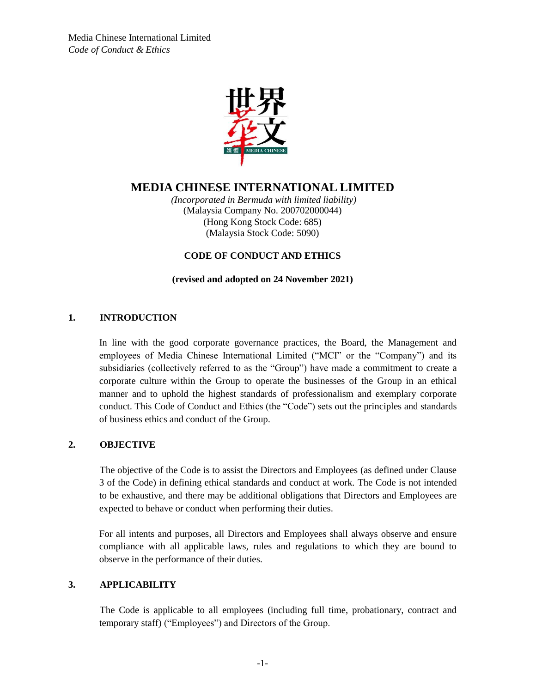

# **MEDIA CHINESE INTERNATIONAL LIMITED**

*(Incorporated in Bermuda with limited liability)* (Malaysia Company No. 200702000044) (Hong Kong Stock Code: 685) (Malaysia Stock Code: 5090)

## **CODE OF CONDUCT AND ETHICS**

## **(revised and adopted on 24 November 2021)**

## **1. INTRODUCTION**

In line with the good corporate governance practices, the Board, the Management and employees of Media Chinese International Limited ("MCI" or the "Company") and its subsidiaries (collectively referred to as the "Group") have made a commitment to create a corporate culture within the Group to operate the businesses of the Group in an ethical manner and to uphold the highest standards of professionalism and exemplary corporate conduct. This Code of Conduct and Ethics (the "Code") sets out the principles and standards of business ethics and conduct of the Group.

## **2. OBJECTIVE**

The objective of the Code is to assist the Directors and Employees (as defined under Clause 3 of the Code) in defining ethical standards and conduct at work. The Code is not intended to be exhaustive, and there may be additional obligations that Directors and Employees are expected to behave or conduct when performing their duties.

For all intents and purposes, all Directors and Employees shall always observe and ensure compliance with all applicable laws, rules and regulations to which they are bound to observe in the performance of their duties.

## **3. APPLICABILITY**

The Code is applicable to all employees (including full time, probationary, contract and temporary staff) ("Employees") and Directors of the Group.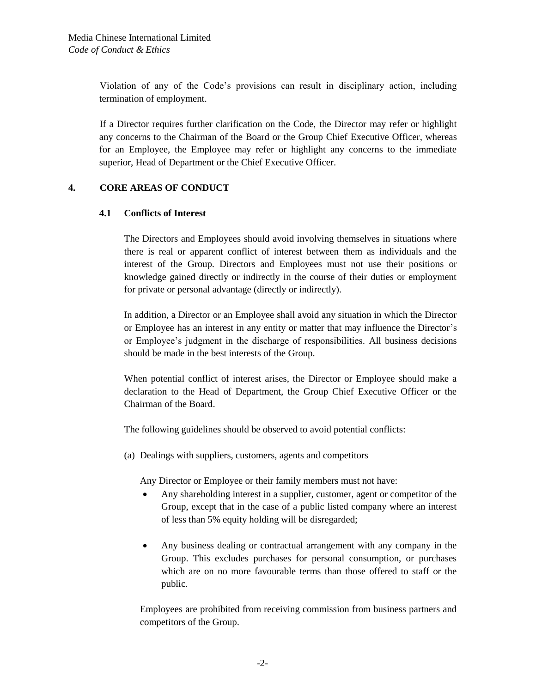Violation of any of the Code's provisions can result in disciplinary action, including termination of employment.

If a Director requires further clarification on the Code, the Director may refer or highlight any concerns to the Chairman of the Board or the Group Chief Executive Officer, whereas for an Employee, the Employee may refer or highlight any concerns to the immediate superior, Head of Department or the Chief Executive Officer.

## **4. CORE AREAS OF CONDUCT**

#### **4.1 Conflicts of Interest**

The Directors and Employees should avoid involving themselves in situations where there is real or apparent conflict of interest between them as individuals and the interest of the Group. Directors and Employees must not use their positions or knowledge gained directly or indirectly in the course of their duties or employment for private or personal advantage (directly or indirectly).

In addition, a Director or an Employee shall avoid any situation in which the Director or Employee has an interest in any entity or matter that may influence the Director's or Employee's judgment in the discharge of responsibilities. All business decisions should be made in the best interests of the Group.

When potential conflict of interest arises, the Director or Employee should make a declaration to the Head of Department, the Group Chief Executive Officer or the Chairman of the Board.

The following guidelines should be observed to avoid potential conflicts:

(a) Dealings with suppliers, customers, agents and competitors

Any Director or Employee or their family members must not have:

- Any shareholding interest in a supplier, customer, agent or competitor of the Group, except that in the case of a public listed company where an interest of less than 5% equity holding will be disregarded;
- Any business dealing or contractual arrangement with any company in the Group. This excludes purchases for personal consumption, or purchases which are on no more favourable terms than those offered to staff or the public.

Employees are prohibited from receiving commission from business partners and competitors of the Group.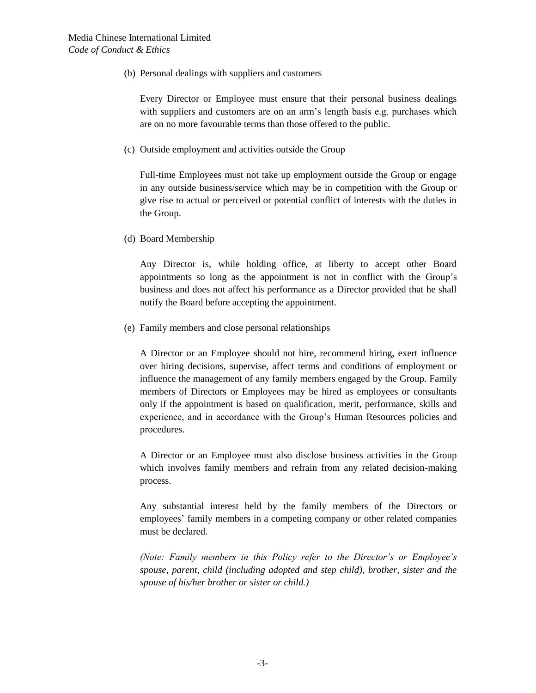(b) Personal dealings with suppliers and customers

Every Director or Employee must ensure that their personal business dealings with suppliers and customers are on an arm's length basis e.g. purchases which are on no more favourable terms than those offered to the public.

(c) Outside employment and activities outside the Group

Full-time Employees must not take up employment outside the Group or engage in any outside business/service which may be in competition with the Group or give rise to actual or perceived or potential conflict of interests with the duties in the Group.

(d) Board Membership

Any Director is, while holding office, at liberty to accept other Board appointments so long as the appointment is not in conflict with the Group's business and does not affect his performance as a Director provided that he shall notify the Board before accepting the appointment.

(e) Family members and close personal relationships

A Director or an Employee should not hire, recommend hiring, exert influence over hiring decisions, supervise, affect terms and conditions of employment or influence the management of any family members engaged by the Group. Family members of Directors or Employees may be hired as employees or consultants only if the appointment is based on qualification, merit, performance, skills and experience, and in accordance with the Group's Human Resources policies and procedures.

A Director or an Employee must also disclose business activities in the Group which involves family members and refrain from any related decision-making process.

Any substantial interest held by the family members of the Directors or employees' family members in a competing company or other related companies must be declared.

*(Note: Family members in this Policy refer to the Director's or Employee's spouse, parent, child (including adopted and step child), brother, sister and the spouse of his/her brother or sister or child.)*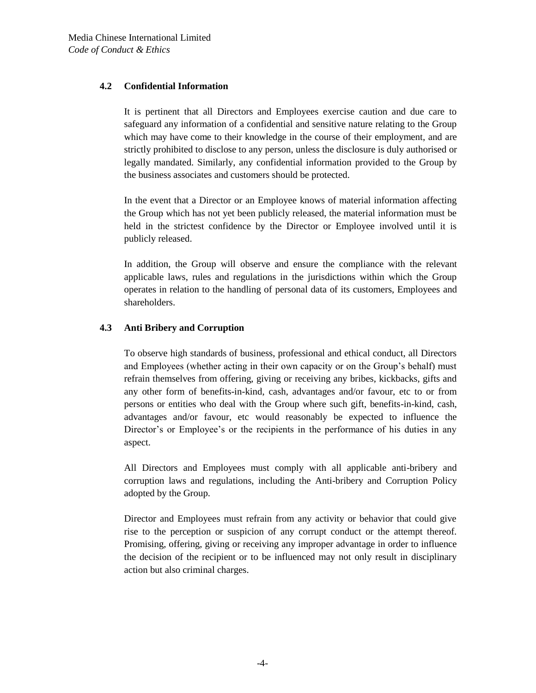## **4.2 Confidential Information**

It is pertinent that all Directors and Employees exercise caution and due care to safeguard any information of a confidential and sensitive nature relating to the Group which may have come to their knowledge in the course of their employment, and are strictly prohibited to disclose to any person, unless the disclosure is duly authorised or legally mandated. Similarly, any confidential information provided to the Group by the business associates and customers should be protected.

In the event that a Director or an Employee knows of material information affecting the Group which has not yet been publicly released, the material information must be held in the strictest confidence by the Director or Employee involved until it is publicly released.

In addition, the Group will observe and ensure the compliance with the relevant applicable laws, rules and regulations in the jurisdictions within which the Group operates in relation to the handling of personal data of its customers, Employees and shareholders.

## **4.3 Anti Bribery and Corruption**

To observe high standards of business, professional and ethical conduct, all Directors and Employees (whether acting in their own capacity or on the Group's behalf) must refrain themselves from offering, giving or receiving any bribes, kickbacks, gifts and any other form of benefits-in-kind, cash, advantages and/or favour, etc to or from persons or entities who deal with the Group where such gift, benefits-in-kind, cash, advantages and/or favour, etc would reasonably be expected to influence the Director's or Employee's or the recipients in the performance of his duties in any aspect.

All Directors and Employees must comply with all applicable anti-bribery and corruption laws and regulations, including the Anti-bribery and Corruption Policy adopted by the Group.

Director and Employees must refrain from any activity or behavior that could give rise to the perception or suspicion of any corrupt conduct or the attempt thereof. Promising, offering, giving or receiving any improper advantage in order to influence the decision of the recipient or to be influenced may not only result in disciplinary action but also criminal charges.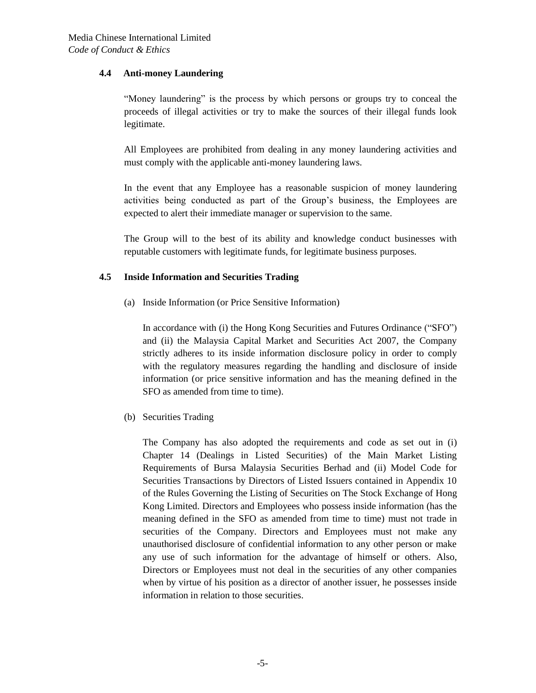#### **4.4 Anti-money Laundering**

"Money laundering" is the process by which persons or groups try to conceal the proceeds of illegal activities or try to make the sources of their illegal funds look legitimate.

All Employees are prohibited from dealing in any money laundering activities and must comply with the applicable anti-money laundering laws.

In the event that any Employee has a reasonable suspicion of money laundering activities being conducted as part of the Group's business, the Employees are expected to alert their immediate manager or supervision to the same.

The Group will to the best of its ability and knowledge conduct businesses with reputable customers with legitimate funds, for legitimate business purposes.

## **4.5 Inside Information and Securities Trading**

(a) Inside Information (or Price Sensitive Information)

In accordance with (i) the Hong Kong Securities and Futures Ordinance ("SFO") and (ii) the Malaysia Capital Market and Securities Act 2007, the Company strictly adheres to its inside information disclosure policy in order to comply with the regulatory measures regarding the handling and disclosure of inside information (or price sensitive information and has the meaning defined in the SFO as amended from time to time).

(b) Securities Trading

The Company has also adopted the requirements and code as set out in (i) Chapter 14 (Dealings in Listed Securities) of the Main Market Listing Requirements of Bursa Malaysia Securities Berhad and (ii) Model Code for Securities Transactions by Directors of Listed Issuers contained in Appendix 10 of the Rules Governing the Listing of Securities on The Stock Exchange of Hong Kong Limited. Directors and Employees who possess inside information (has the meaning defined in the SFO as amended from time to time) must not trade in securities of the Company. Directors and Employees must not make any unauthorised disclosure of confidential information to any other person or make any use of such information for the advantage of himself or others. Also, Directors or Employees must not deal in the securities of any other companies when by virtue of his position as a director of another issuer, he possesses inside information in relation to those securities.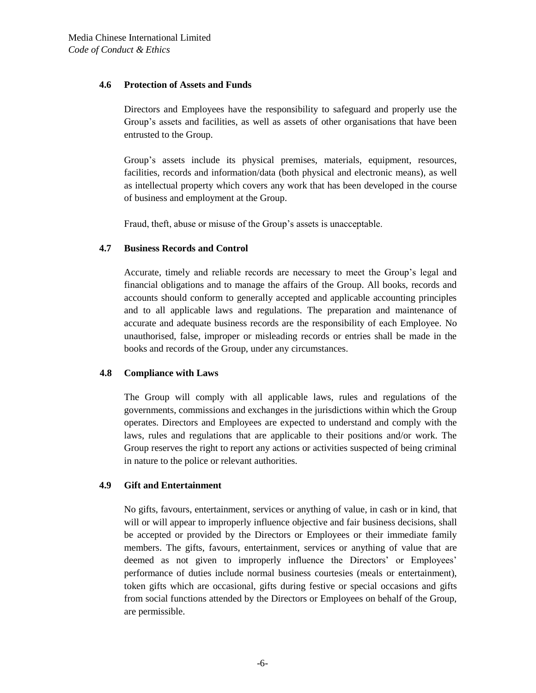#### **4.6 Protection of Assets and Funds**

Directors and Employees have the responsibility to safeguard and properly use the Group's assets and facilities, as well as assets of other organisations that have been entrusted to the Group.

Group's assets include its physical premises, materials, equipment, resources, facilities, records and information/data (both physical and electronic means), as well as intellectual property which covers any work that has been developed in the course of business and employment at the Group.

Fraud, theft, abuse or misuse of the Group's assets is unacceptable.

## **4.7 Business Records and Control**

Accurate, timely and reliable records are necessary to meet the Group's legal and financial obligations and to manage the affairs of the Group. All books, records and accounts should conform to generally accepted and applicable accounting principles and to all applicable laws and regulations. The preparation and maintenance of accurate and adequate business records are the responsibility of each Employee. No unauthorised, false, improper or misleading records or entries shall be made in the books and records of the Group, under any circumstances.

## **4.8 Compliance with Laws**

The Group will comply with all applicable laws, rules and regulations of the governments, commissions and exchanges in the jurisdictions within which the Group operates. Directors and Employees are expected to understand and comply with the laws, rules and regulations that are applicable to their positions and/or work. The Group reserves the right to report any actions or activities suspected of being criminal in nature to the police or relevant authorities.

#### **4.9 Gift and Entertainment**

No gifts, favours, entertainment, services or anything of value, in cash or in kind, that will or will appear to improperly influence objective and fair business decisions, shall be accepted or provided by the Directors or Employees or their immediate family members. The gifts, favours, entertainment, services or anything of value that are deemed as not given to improperly influence the Directors' or Employees' performance of duties include normal business courtesies (meals or entertainment), token gifts which are occasional, gifts during festive or special occasions and gifts from social functions attended by the Directors or Employees on behalf of the Group, are permissible.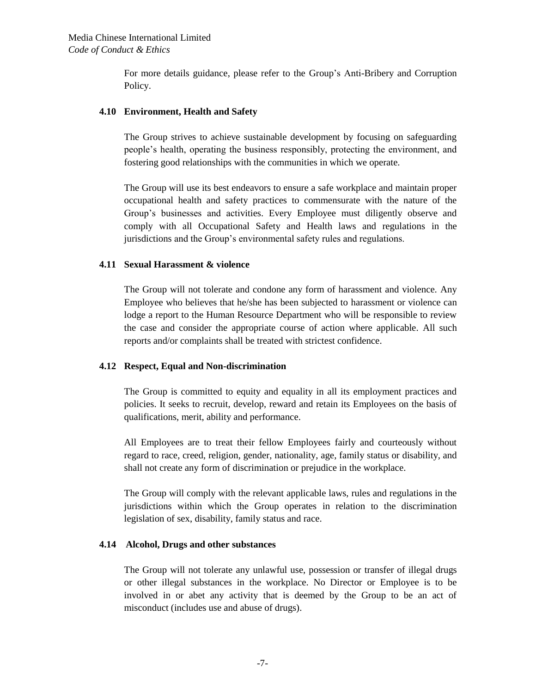For more details guidance, please refer to the Group's Anti-Bribery and Corruption Policy.

#### **4.10 Environment, Health and Safety**

The Group strives to achieve sustainable development by focusing on safeguarding people's health, operating the business responsibly, protecting the environment, and fostering good relationships with the communities in which we operate.

The Group will use its best endeavors to ensure a safe workplace and maintain proper occupational health and safety practices to commensurate with the nature of the Group's businesses and activities. Every Employee must diligently observe and comply with all Occupational Safety and Health laws and regulations in the jurisdictions and the Group's environmental safety rules and regulations.

#### **4.11 Sexual Harassment & violence**

The Group will not tolerate and condone any form of harassment and violence. Any Employee who believes that he/she has been subjected to harassment or violence can lodge a report to the Human Resource Department who will be responsible to review the case and consider the appropriate course of action where applicable. All such reports and/or complaints shall be treated with strictest confidence.

## **4.12 Respect, Equal and Non-discrimination**

The Group is committed to equity and equality in all its employment practices and policies. It seeks to recruit, develop, reward and retain its Employees on the basis of qualifications, merit, ability and performance.

All Employees are to treat their fellow Employees fairly and courteously without regard to race, creed, religion, gender, nationality, age, family status or disability, and shall not create any form of discrimination or prejudice in the workplace.

The Group will comply with the relevant applicable laws, rules and regulations in the jurisdictions within which the Group operates in relation to the discrimination legislation of sex, disability, family status and race.

#### **4.14 Alcohol, Drugs and other substances**

The Group will not tolerate any unlawful use, possession or transfer of illegal drugs or other illegal substances in the workplace. No Director or Employee is to be involved in or abet any activity that is deemed by the Group to be an act of misconduct (includes use and abuse of drugs).